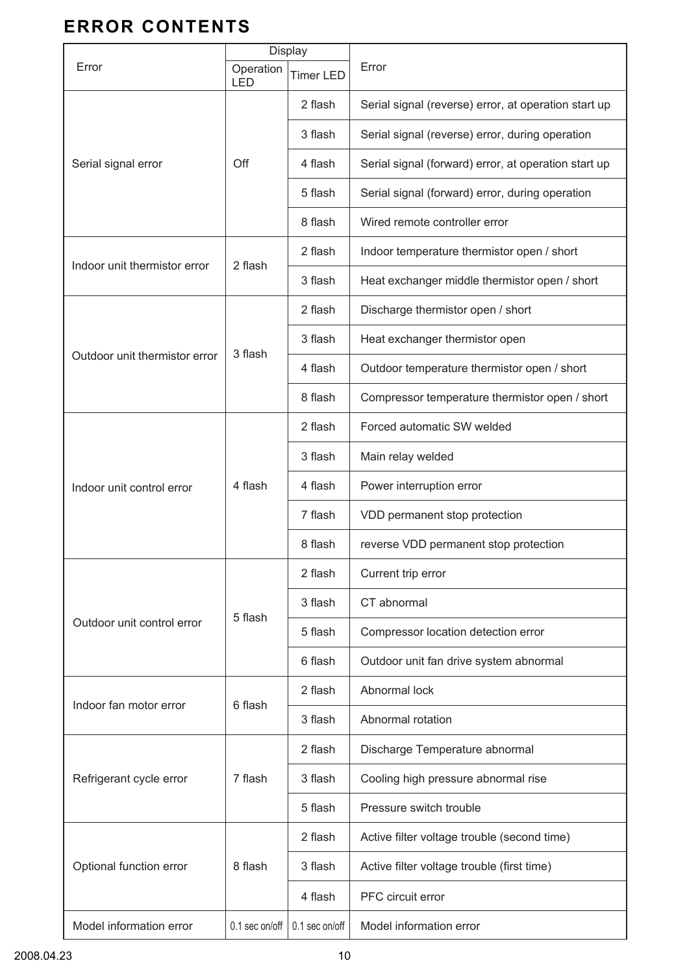## **ERROR CONTENTS**

|                               | Display                 |                  |                                                      |
|-------------------------------|-------------------------|------------------|------------------------------------------------------|
| Error                         | Operation<br><b>LED</b> | <b>Timer LED</b> | Error                                                |
| Serial signal error           | Off                     | 2 flash          | Serial signal (reverse) error, at operation start up |
|                               |                         | 3 flash          | Serial signal (reverse) error, during operation      |
|                               |                         | 4 flash          | Serial signal (forward) error, at operation start up |
|                               |                         | 5 flash          | Serial signal (forward) error, during operation      |
|                               |                         | 8 flash          | Wired remote controller error                        |
| Indoor unit thermistor error  | 2 flash                 | 2 flash          | Indoor temperature thermistor open / short           |
|                               |                         | 3 flash          | Heat exchanger middle thermistor open / short        |
| Outdoor unit thermistor error | 3 flash                 | 2 flash          | Discharge thermistor open / short                    |
|                               |                         | 3 flash          | Heat exchanger thermistor open                       |
|                               |                         | 4 flash          | Outdoor temperature thermistor open / short          |
|                               |                         | 8 flash          | Compressor temperature thermistor open / short       |
| Indoor unit control error     | 4 flash                 | 2 flash          | Forced automatic SW welded                           |
|                               |                         | 3 flash          | Main relay welded                                    |
|                               |                         | 4 flash          | Power interruption error                             |
|                               |                         | 7 flash          | VDD permanent stop protection                        |
|                               |                         | 8 flash          | reverse VDD permanent stop protection                |
| Outdoor unit control error    | 5 flash                 | 2 flash          | Current trip error                                   |
|                               |                         | 3 flash          | CT abnormal                                          |
|                               |                         | 5 flash          | Compressor location detection error                  |
|                               |                         | 6 flash          | Outdoor unit fan drive system abnormal               |
| Indoor fan motor error        | 6 flash                 | 2 flash          | Abnormal lock                                        |
|                               |                         | 3 flash          | Abnormal rotation                                    |
| Refrigerant cycle error       | 7 flash                 | 2 flash          | Discharge Temperature abnormal                       |
|                               |                         | 3 flash          | Cooling high pressure abnormal rise                  |
|                               |                         | 5 flash          | Pressure switch trouble                              |
| Optional function error       | 8 flash                 | 2 flash          | Active filter voltage trouble (second time)          |
|                               |                         | 3 flash          | Active filter voltage trouble (first time)           |
|                               |                         | 4 flash          | PFC circuit error                                    |
| Model information error       | 0.1 sec on/off          | 0.1 sec on/off   | Model information error                              |